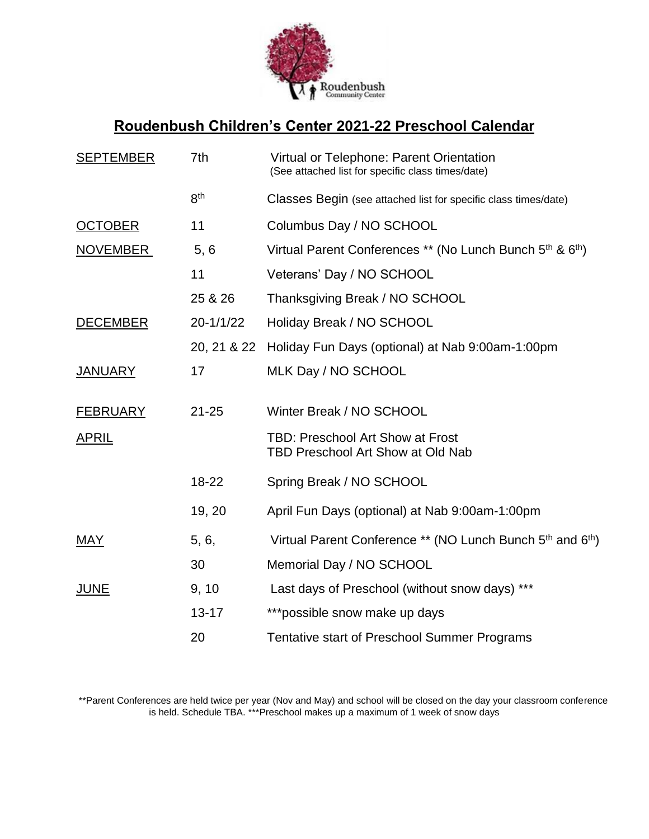

# **Roudenbush Children's Center 2021-22 Preschool Calendar**

| <b>SEPTEMBER</b> | 7th             | Virtual or Telephone: Parent Orientation<br>(See attached list for specific class times/date) |
|------------------|-----------------|-----------------------------------------------------------------------------------------------|
|                  | 8 <sup>th</sup> | Classes Begin (see attached list for specific class times/date)                               |
| <b>OCTOBER</b>   | 11              | Columbus Day / NO SCHOOL                                                                      |
| NOVEMBER         | 5, 6            | Virtual Parent Conferences ** (No Lunch Bunch 5 <sup>th</sup> & 6 <sup>th</sup> )             |
|                  | 11              | Veterans' Day / NO SCHOOL                                                                     |
|                  | 25 & 26         | Thanksgiving Break / NO SCHOOL                                                                |
| <b>DECEMBER</b>  | 20-1/1/22       | Holiday Break / NO SCHOOL                                                                     |
|                  | 20, 21 & 22     | Holiday Fun Days (optional) at Nab 9:00am-1:00pm                                              |
| <b>JANUARY</b>   | 17              | MLK Day / NO SCHOOL                                                                           |
| <b>FEBRUARY</b>  | $21 - 25$       | Winter Break / NO SCHOOL                                                                      |
| <b>APRIL</b>     |                 | <b>TBD: Preschool Art Show at Frost</b><br><b>TBD Preschool Art Show at Old Nab</b>           |
|                  | 18-22           | Spring Break / NO SCHOOL                                                                      |
|                  | 19, 20          | April Fun Days (optional) at Nab 9:00am-1:00pm                                                |
| <u>MAY</u>       | 5, 6,           | Virtual Parent Conference ** (NO Lunch Bunch 5th and 6th)                                     |
|                  | 30              | Memorial Day / NO SCHOOL                                                                      |
| <b>JUNE</b>      | 9, 10           | Last days of Preschool (without snow days) ***                                                |
|                  | $13 - 17$       | ***possible snow make up days                                                                 |
|                  | 20              | Tentative start of Preschool Summer Programs                                                  |

\*\*Parent Conferences are held twice per year (Nov and May) and school will be closed on the day your classroom conference is held. Schedule TBA. \*\*\*Preschool makes up a maximum of 1 week of snow days